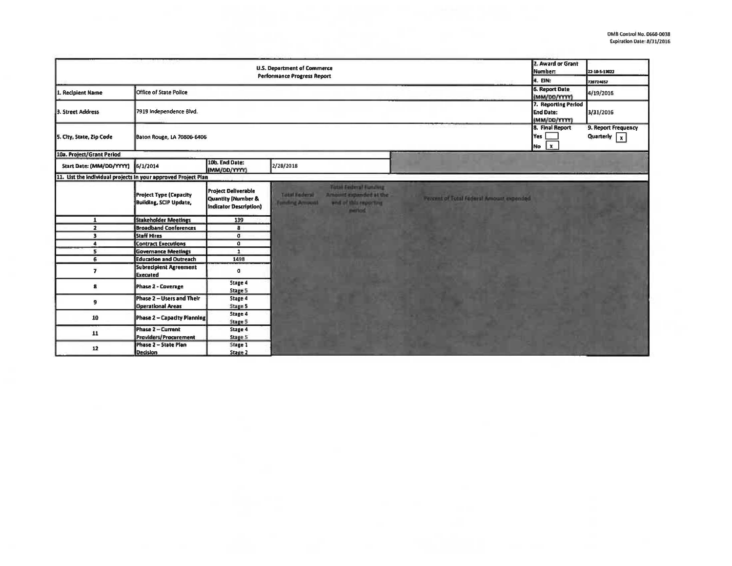| <b>U.S. Department of Commerce</b><br><b>Performance Progress Report</b> |                                                                |                                                                            |                                                                                                                                  |                                          | 2. Award or Grant<br>Number: | 22-10-5-13022 |
|--------------------------------------------------------------------------|----------------------------------------------------------------|----------------------------------------------------------------------------|----------------------------------------------------------------------------------------------------------------------------------|------------------------------------------|------------------------------|---------------|
|                                                                          |                                                                |                                                                            |                                                                                                                                  |                                          | 4. EIN:                      | 720724657     |
| 1. Recipient Name                                                        | Office of State Police                                         | <b>6. Report Date</b><br>(MM/DD/YYYY)                                      | 4/19/2016                                                                                                                        |                                          |                              |               |
| 3. Street Address                                                        | 7919 Independence Blvd.                                        |                                                                            |                                                                                                                                  |                                          |                              | 3/31/2016     |
| 5. City, State, Zip Code                                                 | <b>Baton Rouge, LA 70806-6406</b>                              | 8. Final Report<br>Yes $\Box$<br>$No x$                                    | 9. Report Frequency<br>Quarterly $\boxed{x}$                                                                                     |                                          |                              |               |
| 10a. Project/Grant Period                                                |                                                                |                                                                            |                                                                                                                                  |                                          |                              |               |
| Start Date: (MM/DD/YYYY) 6/1/2014                                        |                                                                | 10b. End Date:<br>(MM/DD/YYYY)                                             | 2/28/2018                                                                                                                        |                                          |                              |               |
| 11. List the individual projects in your approved Project Plan           |                                                                |                                                                            |                                                                                                                                  |                                          |                              |               |
|                                                                          | <b>Project Type (Capacity</b><br><b>Building, SCIP Update,</b> | <b>Project Deliverable</b><br>Quantity (Number &<br>Indicator Description) | Total Federal Funding<br><b>Tütal Foderal</b><br>Amount expanded at the<br>end of this reporting<br>Fometing Acrossed<br>marked. | Percent of Tutal Federal Amount expended |                              |               |
| $\mathbf{1}$                                                             | <b>Stakeholder Meetings</b>                                    | 139                                                                        |                                                                                                                                  |                                          |                              |               |
| $\overline{z}$                                                           | <b>Broadband Conferences</b>                                   | 8                                                                          |                                                                                                                                  |                                          |                              |               |
| $\overline{\mathbf{3}}$                                                  | <b>Staff Hires</b>                                             | $\mathbf{0}$                                                               |                                                                                                                                  |                                          |                              |               |
| $\blacktriangle$                                                         | <b>Contract Executions</b>                                     | $\mathbf{0}$                                                               |                                                                                                                                  |                                          |                              |               |
| 5                                                                        | <b>Governance Meetings</b>                                     | $\mathbf{1}$                                                               |                                                                                                                                  |                                          |                              |               |
| 6                                                                        | <b>Education and Outreach</b>                                  | 1498                                                                       |                                                                                                                                  |                                          |                              |               |
| $\overline{\mathbf{z}}$                                                  | <b>Subrecipient Agreement</b><br><b>Executed</b>               | $\sigma$                                                                   |                                                                                                                                  |                                          |                              |               |
| 8                                                                        | <b>Phase 2 - Coverage</b>                                      | Stage 4<br>Stage 5                                                         |                                                                                                                                  |                                          |                              |               |
| 9                                                                        | Phase 2 - Users and Their<br><b>Operational Areas</b>          | Stage 4<br><b>Stage 5</b>                                                  |                                                                                                                                  |                                          |                              |               |
| 10                                                                       | <b>Phase 2 - Capacity Planning</b>                             | Stage 4<br>Stage 5                                                         |                                                                                                                                  |                                          |                              |               |
| 11                                                                       | Phase 2 - Current<br>Providers/Procurement                     | Stage 4<br>Stage 5                                                         |                                                                                                                                  |                                          |                              |               |
| 12                                                                       | Phase 2 - State Plan<br><b>Decision</b>                        | Stage 1<br>Stage 2                                                         |                                                                                                                                  |                                          |                              |               |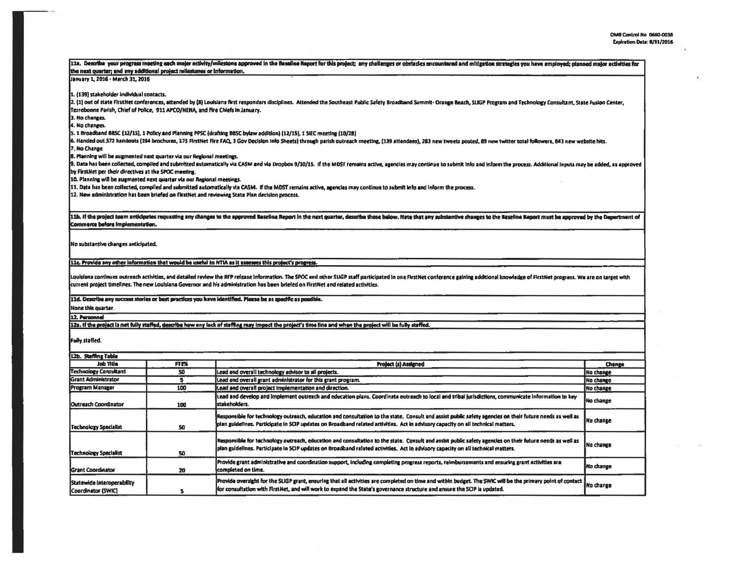$\cdot$ 

| the next querter; and any additional project railestones or information.       |             | 11a. Describe your progress meeting each major activity/milestone approved in the Baseline Report for this project; any challenges or obstacles encountered and mitigation strategies you have employed; planned major activit                                                        |                  |  |  |  |
|--------------------------------------------------------------------------------|-------------|---------------------------------------------------------------------------------------------------------------------------------------------------------------------------------------------------------------------------------------------------------------------------------------|------------------|--|--|--|
| Lianuary 1, 2016 - March 31, 2016                                              |             |                                                                                                                                                                                                                                                                                       |                  |  |  |  |
| 1. (139) stakeholder individual contacts.                                      |             |                                                                                                                                                                                                                                                                                       |                  |  |  |  |
|                                                                                |             | 2. (1) out of state FirstNet conferences, attended by (8) Louisiana first responders disciplines. Attended the Southeast Public Safety Broadband Summit- Orange Beach, SLKSP Program and Technology Consultant, State Fusion C                                                        |                  |  |  |  |
| Terrebonne Parish, Chief of Police, 911 APCO/NENA, and Fire Chiefs in January. |             |                                                                                                                                                                                                                                                                                       |                  |  |  |  |
| 3. No changes.                                                                 |             |                                                                                                                                                                                                                                                                                       |                  |  |  |  |
| 4. No changes.                                                                 |             |                                                                                                                                                                                                                                                                                       |                  |  |  |  |
|                                                                                |             | 5. 1 Broadband BBSC (12/15), 1 Policy and Planning PPSC (drafting BBSC bylaw addition) (12/15), 1 SIEC meeting (10/28)                                                                                                                                                                |                  |  |  |  |
|                                                                                |             | 6. Handed out 372 handouts (194 brochures, 175 FirstNet Fire FAQ, 3 Gov Decision Info Sheets) through parish outreach meeting, (139 attendees), 283 new tweets posted, 89 new twitter total followers, 843 new website hits.                                                          |                  |  |  |  |
| 7. No Change                                                                   |             |                                                                                                                                                                                                                                                                                       |                  |  |  |  |
| 8. Planning will be augmented next quarter via our Regional meetings.          |             |                                                                                                                                                                                                                                                                                       |                  |  |  |  |
|                                                                                |             | 9. Data has been collected, compiled and submitted automatically via CASM and via Dropbox 9/30/15. If the MDST remains active, agencies may continue to submit info and inform the process. Additional inputs may be added, as                                                        |                  |  |  |  |
| by FirstNet per their directives at the SPOC meeting.                          |             |                                                                                                                                                                                                                                                                                       |                  |  |  |  |
| 10. Planning will be augmented next quarter via our Regional meetings.         |             |                                                                                                                                                                                                                                                                                       |                  |  |  |  |
|                                                                                |             | 11. Data has been collected, compiled and submitted automatically via CASM. If the MDST remains active, agencies may continue to submit info and inform the process.                                                                                                                  |                  |  |  |  |
|                                                                                |             | 12. New administration has been briefed on FirstNet and reviewing State Plan decision process.                                                                                                                                                                                        |                  |  |  |  |
|                                                                                |             |                                                                                                                                                                                                                                                                                       |                  |  |  |  |
|                                                                                |             | 11b. If the project team anticipates requasting any changes to the approved Beselina Report in the next quarter, describe those below. Note that any substantive changes to the Easeline Report must be approved by the Depart                                                        |                  |  |  |  |
| Commerce before Implementation.                                                |             |                                                                                                                                                                                                                                                                                       |                  |  |  |  |
|                                                                                |             |                                                                                                                                                                                                                                                                                       |                  |  |  |  |
| No substantive changes anticipated.                                            |             |                                                                                                                                                                                                                                                                                       |                  |  |  |  |
|                                                                                |             |                                                                                                                                                                                                                                                                                       |                  |  |  |  |
|                                                                                |             | [11c. Provide any other information that would be useful to NTIA as it assesses this project's progress.                                                                                                                                                                              |                  |  |  |  |
|                                                                                |             |                                                                                                                                                                                                                                                                                       |                  |  |  |  |
|                                                                                |             | Louisiana continues outreach activities, and detailed review the RFP release Information. The SPOC and other SUGP staff participated in one FirstNet conference gaining additional knowledge of FirstNet progress. We are on t                                                        |                  |  |  |  |
|                                                                                |             | current project timelines. The new Louisiana Governor and his administration has been briefed on FirstNet and related activities.                                                                                                                                                     |                  |  |  |  |
|                                                                                |             |                                                                                                                                                                                                                                                                                       |                  |  |  |  |
|                                                                                |             | 11d. Describe any success stories or best practices you have identified. Please be as specific as possible.                                                                                                                                                                           |                  |  |  |  |
| None this quarter.                                                             |             |                                                                                                                                                                                                                                                                                       |                  |  |  |  |
| 12. Parsonnel                                                                  |             |                                                                                                                                                                                                                                                                                       |                  |  |  |  |
|                                                                                |             | 12s. If the project is not fully staffed, describe how any lack of staffing may impact the project's time line and when the project will be fully staffed.                                                                                                                            |                  |  |  |  |
| Fully staffed.                                                                 |             |                                                                                                                                                                                                                                                                                       |                  |  |  |  |
| 12b. Staffing Table                                                            |             |                                                                                                                                                                                                                                                                                       |                  |  |  |  |
| <b>Job Title</b>                                                               | <b>FTEX</b> | <b>Project (s) Assigned</b>                                                                                                                                                                                                                                                           | Change           |  |  |  |
| <b>Technology Consultant</b>                                                   | 50          | Lead and overall technology advisor to all projects.                                                                                                                                                                                                                                  | No change        |  |  |  |
| <b>Grant Administrator</b>                                                     | 5           | Lead and overall grant administrator for this grant program.                                                                                                                                                                                                                          | No change        |  |  |  |
| Program Manager                                                                | 100         | Lead and overall project implementation and direction.                                                                                                                                                                                                                                | No change        |  |  |  |
|                                                                                |             | Lead and develop and implement outreach and education plans. Coordinate outreach to local and tribal jurisdictions, communicate information to key                                                                                                                                    |                  |  |  |  |
| Outreach Coordinator                                                           | 100         | stakeholders.                                                                                                                                                                                                                                                                         | No change        |  |  |  |
|                                                                                |             | Responsible for technology outreach, education and consultation to the state. Consult and assist public safety agencies on their future needs as well as                                                                                                                              |                  |  |  |  |
|                                                                                |             |                                                                                                                                                                                                                                                                                       | <b>No change</b> |  |  |  |
| <b>Technology Specialist</b>                                                   | 50          | olan guidelines. Participate in SCIP updates on Broadband related activities. Act in advisory capacity on all technical matters.                                                                                                                                                      |                  |  |  |  |
|                                                                                |             | Responsible for technology outreach, education and consultation to the state. Consult and assist public safety agencies on their future needs as well as                                                                                                                              |                  |  |  |  |
|                                                                                |             |                                                                                                                                                                                                                                                                                       | No change        |  |  |  |
| <b>Technology Specialist</b>                                                   | 50          | plan guidelines. Participate in SCIP updates on Broadband related activities. Act in advisory capacity on all technical matters.                                                                                                                                                      |                  |  |  |  |
|                                                                                |             | Provide grant administrative and coordination support, including completing progress reports, reimbursements and ensuring grant activities are                                                                                                                                        |                  |  |  |  |
|                                                                                |             | completed on time.                                                                                                                                                                                                                                                                    | No change        |  |  |  |
|                                                                                |             |                                                                                                                                                                                                                                                                                       |                  |  |  |  |
| <b>Grant Coordinator</b>                                                       | 20          |                                                                                                                                                                                                                                                                                       |                  |  |  |  |
| Statewide Interoperability                                                     |             | Provide oversight for the SUGP grant, ensuring that all activities are completed on time and within budget. The SWIC will be the primary point of contact<br>for consultation with FirstNet, and will work to expand the State's governance structure and ensure the SCIP is updated. | No change        |  |  |  |